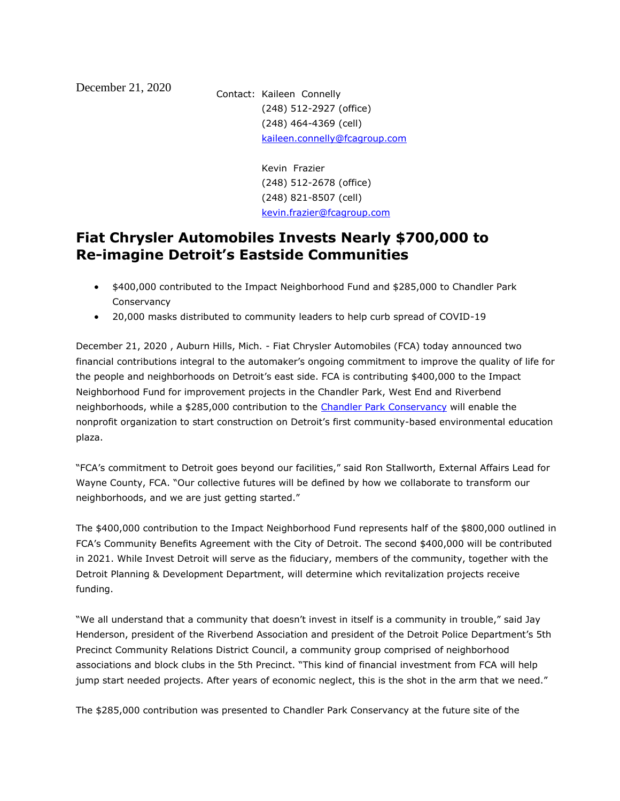December 21, 2020 Contact: Kaileen Connelly (248) 512-2927 (office) (248) 464-4369 (cell) [kaileen.connelly@fcagroup.com](mailto:kaileen.connelly@fcagroup.com)

> Kevin Frazier (248) 512-2678 (office) (248) 821-8507 (cell) [kevin.frazier@fcagroup.com](mailto:kevin.frazier@fcagroup.com)

## **Fiat Chrysler Automobiles Invests Nearly \$700,000 to Re-imagine Detroit's Eastside Communities**

- \$400,000 contributed to the Impact Neighborhood Fund and \$285,000 to Chandler Park Conservancy
- 20,000 masks distributed to community leaders to help curb spread of COVID-19

December 21, 2020 , Auburn Hills, Mich. - Fiat Chrysler Automobiles (FCA) today announced two financial contributions integral to the automaker's ongoing commitment to improve the quality of life for the people and neighborhoods on Detroit's east side. FCA is contributing \$400,000 to the Impact Neighborhood Fund for improvement projects in the Chandler Park, West End and Riverbend neighborhoods, while a \$285,000 contribution to the [Chandler Park Conservancy](https://www.chandlerparkconservancy.org/) will enable the nonprofit organization to start construction on Detroit's first community-based environmental education plaza.

"FCA's commitment to Detroit goes beyond our facilities," said Ron Stallworth, External Affairs Lead for Wayne County, FCA. "Our collective futures will be defined by how we collaborate to transform our neighborhoods, and we are just getting started."

The \$400,000 contribution to the Impact Neighborhood Fund represents half of the \$800,000 outlined in FCA's Community Benefits Agreement with the City of Detroit. The second \$400,000 will be contributed in 2021. While Invest Detroit will serve as the fiduciary, members of the community, together with the Detroit Planning & Development Department, will determine which revitalization projects receive funding.

"We all understand that a community that doesn't invest in itself is a community in trouble," said Jay Henderson, president of the Riverbend Association and president of the Detroit Police Department's 5th Precinct Community Relations District Council, a community group comprised of neighborhood associations and block clubs in the 5th Precinct. "This kind of financial investment from FCA will help jump start needed projects. After years of economic neglect, this is the shot in the arm that we need."

The \$285,000 contribution was presented to Chandler Park Conservancy at the future site of the